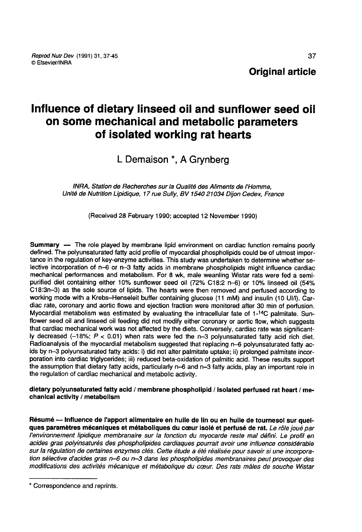# Influence of dietary linseed oil and sunflower seed oil on some mechanical and metabolic parameters of isolated working rat hearts

## L Demaison \*, A Grynberg

INRA, Station de Recherches sur la Qualité des Aliments de l'Homme, Unité de Nutrition Lipidique, 17 rue Sully, BV 1540 21034 Dijon Cedex, France

(Received 28 February 1990; accepted 12 November 1990)

Summary -- The role played by membrane lipid environment on cardiac function remains poorly defined. The polyunsaturated fatty acid profile of myocardial phospholipids could be of utmost importance in the regulation of key lective incorporation of n-6 or n-3 fatty acids in membrane phospholipids might influence cardiac mechanical performances and metabolism. For 8 wk, male weanling Wistar rats were fed a semipurified diet containing either 10% sunflower seed oil (72% C18:2 n-6) or 10% linseed oil (54% C18:3n-3) as the sole source of lipids. The hearts were then removed and perfused according to working mode with a Krebs-Henseleit buffer containing glucose (11 mM) and insulin (10 UI/I). Cardiac rate, coronary and aortic flows and ejection fraction were monitored after 30 min of perfusion. Myocardial metabolism was estimated by evaluating the intracellular fate of 1-<sup>14</sup>C palmitate. Sun-<br>flower seed oil and linseed oil feeding did not modify either coronary or aortic flow, which suggests that cardiac mechanical work was not affected by the diets. Conversely, cardiac rate was significantly decreased  $(-18)$ ;  $P < 0.01$ ) when rats were fed the n-3 polyunsaturated fatty acid rich diet. Radioanalysis of the myocardial metabolism suggested that replacing n-6 polyunsaturated fatty acids by n-3 polyunsaturated fatty acids: i) did not alter palmitate uptake; ii) prolonged palmitate incorporation into cardiac triglycerides; iii) reduced beta-oxidation of palmitic acid. These results support the assumption that dietary fatty acids, particularly n-6 and n-3 fatty acids, play an important role in the regulation of cardiac mechanical and metabolic activity.

dietary polyunsaturated fatty acid / membrane phospholipid / isolated perfused rat heart / mechanical activity / metabolism

Résumé ― Influence de l'apport alimentaire en huile de lin ou en huile de tournesol sur quelques paramètres mécaniques et métaboliques du cœur isolé et perfusé de rat. Le rôle joué par l'environnement lipidique membranaire sur la fonction du myocarde reste mal défini. Le profil en acides gras polyinsaturés des phospholipides cardiaques pourrait avoir une influence considérable sur la régulation de certaines enzymes clés. Cette étude a été réalisée pour savoir si une incorporation sélective d'acides gras n-6 ou n-3 dans les phospholipides membranaires peut provoquer des modifications des activités mécanique et métabolique du coeur. Des rats mâles de souche Wistar

<sup>\*</sup> Correspondence and reprints.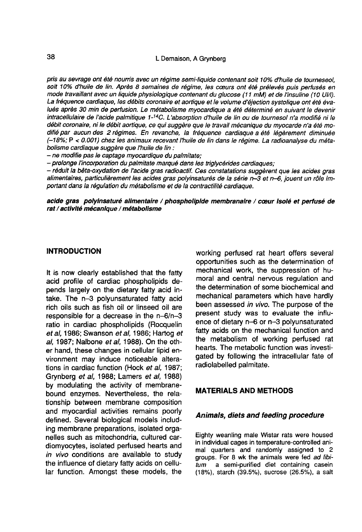pris au sevrage ont été nourris avec un régime semi-liquide contenant soit 10% d'huile de tourneseol, soit 10% d'huile de lin. Après 8 semaines de régime, les coeurs ont été prélevés puis perfusés en mode travaillant avec un liquide physiologique contenant du glucose (11 mM) et de l'insuline (10 UI/I). La fréquence cardiaque, les débits coronaire et aortique et le volume d'éjection systolique ont été évalués après 30 min de perfusion. Le métabolisme myocardique a été déterminé en suivant le devenir intracellulaire de l'acide palmitique 1-<sup>14</sup>C. L'absorption d'huile de lin ou de tournesol n'a modifié ni le débit coronaire, ni le débit aortique, ce qui suggère que le travail mécanique du myocarde n'a été modifié par aucun des 2 régimes. En revanche, la fréquence cardiaque a été légèrement diminuée (-18%; P < 0.001) chez les animaux recevant l'huile de lin dans le régime. La radioanalyse du méta-

– ne modifie pas le captage myocardique du palmitate;<br>– prolonge l'incorporation du palmitate marqué dans les triglycérides cardiaques;<br>– réduit la bêta-oxydation de l'acide gras radioactif. Ces constatations suggèrent que alimentaires, particulièrement les acides gras polyinsaturés de la série n-3 et n-6, jouent un rôle important dans la régulation du métabolisme et de la contractilité cardiaque.

acide gras polyinsaturé alimentaire / phosphollplde membranalre / coeur Isolé et perfusé de rat / actlvlté mécanique / métabolisme

#### INTRODUCTION

It is now clearly established that the fatty acid profile of cardiac phospholipids depends largely on the dietary fatty acid intake. The n-3 polyunsaturated fatty acid rich oils such as fish oil or linseed oil are responsible for a decrease in the n-6/n-3 ratio in cardiac phospholipids (Rocquelin et al, 1986; Swanson et al, 1986; Hartog et al, 1987; Nalbone et al, 1988). On the other hand, these changes in cellular lipid environment may induce noticeable alterations in cardiac function (Hock et al, 1987; Grynberg et al, 1988; Lamers et al, 1988) by modulating the activity of membranebound enzymes. Nevertheless, the relationship between membrane composition and myocardial activities remains poorly defined. Several biological models including membrane preparations, isolated organelles such as mitochondria, cultured cardiomyocytes, isolated perfused hearts and in vivo conditions are available to study the influence of dietary fatty acids on cellular function. Amongst these models, the

working perfused rat heart offers several opportunities such as the determination of mechanical work, the suppression of humoral and central nervous regulation and the determination of some biochemical and mechanical parameters which have hardly been assessed in vivo. The purpose of the present study was to evaluate the influence of dietary n-6 or n-3 polyunsaturated fatty acids on the mechanical function and the metabolism of working perfused rat hearts. The metabolic function was investigated by following the intracellular fate of radiolabelled palmitate.

#### MATERIALS AND METHODS

#### Animals, diets and feeding procedure

Eighty weanling male Wistar rats were housed in individual cages in temperature-controlled animal quarters and randomly assigned to 2 groups. For 8 wk the animals were fed ad libitum a semi-purified diet containing casein (18%), starch (39.5%), sucrose (26.5%), a salt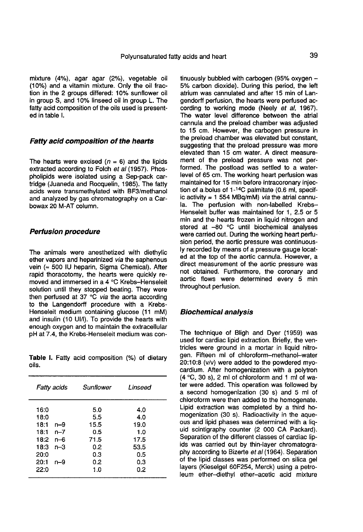mixture (4%), agar agar (2%), vegetable oil (10%) and a vitamin mixture. Only the oil fraction in the 2 groups differed: 10% sunflower oil in group S, and 10% linseed oil in group L. The fatty acid composition of the oils used is presented in table I.

#### Fatty acid composition of the hearts

The hearts were excised  $(n = 6)$  and the lipids extracted according to Folch et al (1957). Phospholipids were isolated using a Sep-pack cartridge (Juaneda and Rocquelin, 1985). The fatty acids were transmethylated with BF3/methanol and analyzed by gas chromatography on a Carbowax 20 M-AT column.

#### Perfusion procedure

The animals were anesthetized with diethylic ether vapors and heparinized via the saphenous vein ( $\approx$  500 IU heparin, Sigma Chemical). After rapid thoracotomy, the hearts were quickly removed and immersed in a 4 °C Krebs-Henseleit solution until they stopped beating. They were then perfused at 37 °C via the aorta according to the Langendorff procedure with a Krebs-Henseleit medium containing glucose (11 mM) and insulin (10 UI/I). To provide the hearts with enough oxygen and to maintain the extracellular pH at 7.4, the Krebs-Henseleit medium was con-

Table I. Fatty acid composition (%) of dietary oils.

| Fatty acids                                                                                               | Sunflower                                              | Linseed                                                 |
|-----------------------------------------------------------------------------------------------------------|--------------------------------------------------------|---------------------------------------------------------|
| 16:0<br>18:0<br>18:1<br>n-9<br>$n - 7$<br>18:1<br>18:2<br>n-6<br>18:3<br>$n-3$<br>20:0<br>20:1<br>$n - 9$ | 5.0<br>5.5<br>15.5<br>0.5<br>71.5<br>0.2<br>0.3<br>0.2 | 4.0<br>4.0<br>19.0<br>1.0<br>17.5<br>53.5<br>0.5<br>0.3 |
| 22:0                                                                                                      | 1.0                                                    | 0.2                                                     |

tinuously bubbled with carbogen  $(95\%$  oxygen  $+$ 5% carbon dioxide). During this period, the left atrium was cannulated and after 15 min of Langendorff perfusion, the hearts were perfused according to working mode (Neely et al, 1967). The water level difference between the atrial cannula and the preload chamber was adjusted to 15 cm. However, the carbogen pressure in the preload chamber was elevated but constant, suggesting that the preload pressure was more elevated than 15 cm water. A direct measurement of the preload pressure was not performed. The postload was settled to a waterlevel of 65 cm. The working heart perfusion was maintained for 15 min before intracoronary injeclevel of 65 cm. The working heart perfusion was<br>maintained for 15 min before intracoronary injec-<br>tion of a.bolus of 1-<sup>14</sup>C palmitate (0.6 ml, specif-<br>in ortivity = 1.554 MPg/mM), via the orticl specif ic activity = 1 554 MBq/mM) via the atrial cannula. The perfusion with non-labelled Krebs-Henseleit buffer was maintained for 1, 2.5 or 5 min and the hearts frozen in liquid nitrogen and stored at -80 °C until biochemical analyses were carried out. During the working heart perfusion period, the aortic pressure was continuously recorded by means of a pressure gauge located at the top of the aortic cannula. However, a direct measurement of the aortic pressure was not obtained. Furthermore, the coronary and aortic flows were determined every 5 min throughout perfusion.

#### Biochemical analysis

The technique of Bligh and Dyer (1959) was used for cardiac lipid extraction. Briefly, the ventricles were ground in a mortar in liquid nitrogen. Fifteen ml of chloroform-methanol-water 20:10:8 (v/v) were added to the powdered myocardium. After homogenization with a polytron (4 °C, 30 s), 2 ml of chloroform and 1 ml of water were added. This operation was followed by a second homogenization (30 s) and 5 ml of chloroform were then added to the homogenate. Lipid extraction was completed by a third homogenization (30 s). Radioactivity in the aque ous and lipid phases was determined with a liquid scintigraphy counter (2 000 CA Packard). Separation of the different classes of cardiac lipids was carried out by thin-layer chromatography according to Bizerte et al (1964). Separation of the lipid classes was performed on silica gel layers (Kieselgel 60F254, Merck) using a petroleum ether-diethyl ether-acetic acid mixture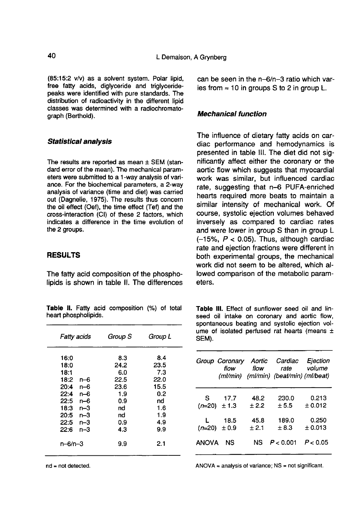(85:15:2 v/v) as a solvent system. Polar lipid, free fatty acids, diglyceride and triglyceridepeaks were identified with pure standards. The distribution of radioactivity in the different lipid classes was determined with a radiochromatograph (Berthold).

#### Statistical analysis

The results are reported as mean  $\pm$  SEM (standard error of the mean). The mechanical param eters were submitted to a 1-way analysis of variance. For the biochemical parameters, a 2-way analysis of variance (time and diet) was carried out (Dagnelie, 1975). The results thus concern the oil effect (Oef), the time effect (Tef) and the cross-interaction (CI) of these 2 factors, which indicates a difference in the time evolution of the 2 groups.

#### **RESULTS**

The fatty acid composition of the phospholipids is shown in table II. The differences

Table II. Fatty acid composition (%) of total heart phospholipids.

| Fatty acids   | Group S | Group L |
|---------------|---------|---------|
| 16:0          | 8.3     | 8.4     |
| 18:0          | 24.2    | 23.5    |
| 18:1          | 6.0     | 73      |
| 18:2<br>n–6   | 22.5    | 22.0    |
| 20:4<br>n-6   | 23.6    | 15.5    |
| 22.4<br>n–6   | 1.9     | 0.2     |
| n-6<br>22:5   | 0.9     | nd      |
| $n-3$<br>18:3 | nd      | 1.6     |
| $n-3$<br>20:5 | nd      | 1.9     |
| $n-3$<br>22:5 | 0.9     | 4.9     |
| n–3<br>22:6   | 4.3     | 9.9     |
| n-6/n-3       | 9.9     | 2.1     |

 $nd = not detected.$ 

can be seen in the n-6/n-3 ratio which varies from  $\approx 10$  in groups S to 2 in group L.

#### Mechanical function

The influence of dietary fatty acids on cardiac performance and hemodynamics is presented in table III. The diet did not significantly affect either the coronary or the aortic flow which suggests that myocardial work was similar, but influenced cardiac rate, suggesting that n-6 PUFA-enriched hearts required more beats to maintain a similar intensity of mechanical work. Of course, systolic ejection volumes behaved inversely as compared to cardiac rates and were lower in group S than in group L  $(-15\% , P < 0.05)$ . Thus, although cardiac rate and ejection fractions were different in both experimental groups, the mechanical work did not seem to be altered, which allowed comparison of the metabolic parameters.

Table III. Effect of sunflower seed oil and linseed oil intake on coronary and aortic flow, spontaneous beating and systolic ejection volume of isolated perfused rat hearts (means ± SEM).

|              | Group Coronary Aortic |       | Cardiac<br>flow flow rate volume<br>(ml/min) (ml/min) (beat/min) (ml/beat) | Ejection |
|--------------|-----------------------|-------|----------------------------------------------------------------------------|----------|
|              | S 17.7                | 48.2  | 230.0                                                                      | 0.213    |
|              | $(n=20)$ $\pm$ 1.3    | ±2.2  | ± 5.5                                                                      | ± 0.012  |
|              | L 18.5                | 45.8  | 189.0                                                                      | 0.250    |
|              | $(n=20) \pm 0.9$      | ± 2.1 | ± 8.3                                                                      | ± 0.013  |
| <b>ANOVA</b> | NS                    | NS.   | P < 0.001                                                                  | P < 0.05 |

 $ANOVA =$  analysis of variance;  $NS =$  not significant.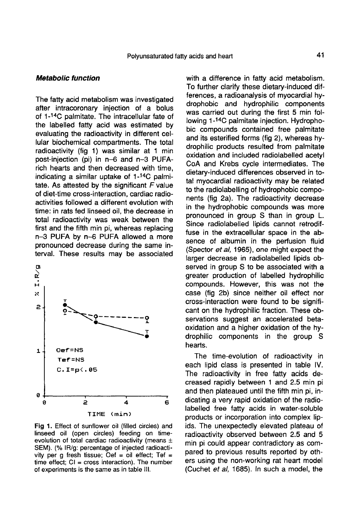#### Metabolic function

The fatty acid metabolism was investigated after intracoronary injection of a bolus The fatty acid metabolism was investigated<br>after intracoronary injection of a bolus<br>of 1-<sup>14</sup>C palmitate. The intracellular fate of<br>the labellad fatty orid was astimated by the labelled fatty acid was estimated by evaluating the radioactivity in different cellular biochemical compartments. The total radioactivity (fig 1) was similar at 1 min post-injection (pi) in n-6 and n-3 PUFArich hearts and then decreased with time, indicating a similar uptake of  $1-14C$  palmitate. As attested by the significant  $F$  value of diet-time cross-interaction, cardiac radioactivities followed a different evolution with time: in rats fed linseed oil, the decrease in total radioactivity was weak between the first and the fifth min pi, whereas replacing n-3 PUFA by n-6 PUFA allowed a more pronounced decrease during the same interval. These results may be associated



Fig 1. Effect of sunflower oil (filled circles) and linseed oil (open circles) feeding on timeevolution of total cardiac radioactivity (means  $\pm$ SEM). (% IR/g: percentage of injected radioactivity per g fresh tissue; Oef = oil effect; Tef = time effect;  $CI = cross$  interaction). The number of experiments is the same as in table III.

with a difference in fatty acid metabolism. To further clarify these dietary-induced differences, a radioanalysis of myocardial hydrophobic and hydrophilic components was carried out during the first 5 min following 1-<sup>14</sup>C palmitate injection. Hydrophobic compounds contained free palmitate and its esterified forms (fig 2), whereas hydrophilic products resulted from palmitate oxidation and included radiolabelled acetyl CoA and Krebs cycle intermediates. The dietary-induced differences observed in total myocardial radioactivity may be related to the radiolabelling of hydrophobic components (fig 2a). The radioactivity decrease in the hydrophobic compounds was more pronounced in group S than in group L. Since radiolabelled lipids cannot retrodiffuse in the extracellular space in the absence of albumin in the perfusion fluid (Spector et al, 1965), one might expect the larger decrease in radiolabelled lipids observed in group S to be associated with a greater production of labelled hydrophilic compounds. However, this was not the case (fig 2b) since neither oil effect nor cross-interaction were found to be significant on the hydrophilic fraction. These observations suggest an accelerated betaoxidation and a higher oxidation of the hydrophilic components in the group S hearts.

The time-evolution of radioactivity in each lipid class is presented in table IV. The radioactivity in free fatty acids decreased rapidly between 1 and 2.5 min pi and then plateaued until the fifth min pi, indicating a very rapid oxidation of the radiolabelled free fatty acids in water-soluble products or incorporation into complex lipids. The unexpectedly elevated plateau of radioactivity observed between 2.5 and 5 min pi could appear contradictory as compared to previous results reported by others using the non-working rat heart model (Cuchet et al, 1685). In such a model, the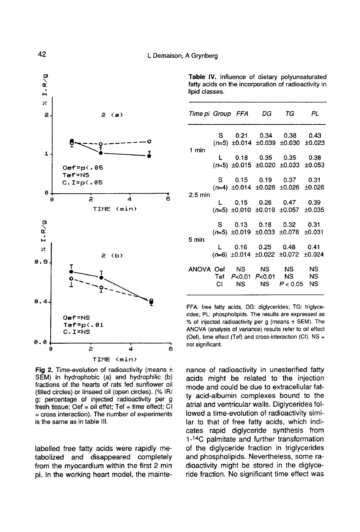

Fig 2. Time-evolution of radioactivity (means  $\pm$ SEM) in hydrophobic (a) and hydrophilic (b) fractions of the hearts of rats fed sunflower oil (filled circles) or linseed oil (open circles). (% IR/ g: percentage of injected radioactivity per g fresh tissue; Oef = oil effet;  $Tef = time effect$ ; CI  $=$  cross interaction). The number of experiments is the same as in table III.

labelled free fatty acids were rapidly metabolized and disappeared completely from the myocardium within the first 2 min pi. In the working heart model, the mainte-

Table IV. Influence of dietary polyunsaturated fatty acids on the incorporation of radioactivity in lipid classes.

|           |  | Time pi Group FFA DG TG PL                                                 |  |
|-----------|--|----------------------------------------------------------------------------|--|
| 1 min     |  | S  0.21  0.34  0.38  0.43<br>$(n=5)$ ±0.014 ±0.039 ±0.030 ±0.023           |  |
|           |  | L 0.18 0.35 0.35 0.38<br>$(n=5)$ ±0.015 ±0.020 ±0.033 ±0.053               |  |
| $2.5$ min |  | S  0.15  0.19  0.37  0.31<br>$(n=4)$ ±0.014 ±0.026 ±0.026 ±0.026           |  |
|           |  | L 0.15 0.26 0.47 0.39<br>$(n=5)$ ±0.010 ±0.019 ±0.057 ±0.035               |  |
| 5 min     |  | S  0.13  0.18  0.32  0.31<br>$(n=5)$ ±0.019 ±0.033 ±0.078 ±0.031           |  |
|           |  | L  0.16  0.25  0.48  0.41<br>$(n=6)$ ±0.014 ±0.022 ±0.072 ±0.024           |  |
|           |  | ANOVA Oef NS NS NS NS<br>Tef P<0.01 P<0.01 NS NS<br>CI NS NS $P < 0.05$ NS |  |

FFA: free fatty acids, DG: diglycerides; TG: triglycerides; PL: phospholipids. The results are expressed as % of injected radioactivity per g (means ± SEM). The ANOVA (analysis of variance) results refer to oil effect (Oef), time effect (Tef) and cross-interaction (CI). NS = not significant.

nance of radioactivity in unesterified fatty acids might be related to the injection mode and could be due to extracellular fatty acid-albumin complexes bound to the atrial and ventricular walls. Diglycerides followed a time-evolution of radioactivity similar to that of free fatty acids, which indicates rapid diglyceride synthesis from 1-<sup>14</sup>C palmitate and further transformation of the diglyceride fraction in triglycerides and phospholipids. Nevertheless, some radioactivity might be stored in the diglyceride fraction. No significant time effect was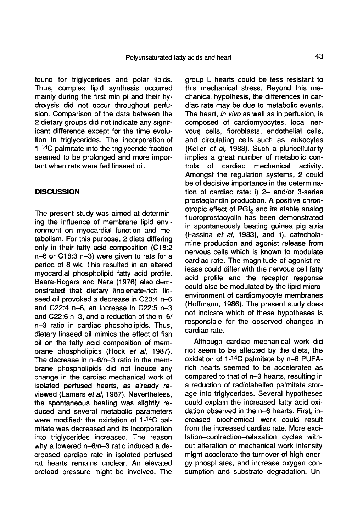found for triglycerides and polar lipids. Thus, complex lipid synthesis occurred mainly during the first min pi and their hydrolysis did not occur throughout perfusion. Comparison of the data between the 2 dietary groups did not indicate any significant difference except for the time evolution in triglycerides. The incorporation of 1-<sup>14</sup>C palmitate into the triglyceride fraction seemed to be prolonged and more impor tant when rats were fed linseed oil.

#### **DISCUSSION**

The present study was aimed at determining the influence of membrane lipid environment on myocardial function and metabolism. For this purpose, 2 diets differing only in their fatty acid composition (C18:2 n-6 or C18:3 n-3) were given to rats for a period of 8 wk. This resulted in an altered myocardial phospholipid fatty acid profile. Beare-Rogers and Nera (1976) also demonstrated that dietary linolenate-rich linseed oil provoked a decrease in C20:4 n-6 and C22:4 n-6, an increase in C22:5 n-3 and C22:6 n-3, and a reduction of the n-6/ n-3 ratio in cardiac phospholipids. Thus, dietary linseed oil mimics the effect of fish oil on the fatty acid composition of membrane phospholipids (Hock et al, 1987). The decrease in n-6/n-3 ratio in the membrane phospholipids did not induce any change in the cardiac mechanical work of isolated perfused hearts, as already reviewed (Lamers et al, 1987). Nevertheless, the spontaneous beating was slightly reduced and several metabolic parameters were modified: the oxidation of 1-4C palmitate was decreased and its incorporation into triglycerides increased. The reason why a lowered n-6/n-3 ratio induced a decreased cardiac rate in isolated perfused rat hearts remains unclear. An elevated preload pressure might be involved. The group L hearts could be less resistant to this mechanical stress. Beyond this mechanical hypothesis, the differences in cardiac rate may be due to metabolic events. The heart, in vivo as well as in perfusion, is composed of cardiomyocytes, local nervous cells, fibroblasts, endothelial cells, and circulating cells such as leukocytes (Keller et al, 1988). Such a pluricellularity implies a great number of metabolic con-<br>trols of cardiac mechanical activity. mechanical Amongst the regulation systems, 2 could be of decisive importance in the determination of cardiac rate: i) 2- and/or 3-series prostaglandin production. A positive chron-<br>otropic effect of  $PGI<sub>2</sub>$  and its stable analog<br>fluoroprostacyclin has been demonstrated fluoroprostacyclin has been demonstrated in spontaneously beating guinea pig atria (Fassina et al, 1983), and ii), catecholamine production and agonist release from nervous cells which is known to modulate cardiac rate. The magnitude of agonist release could differ with the nervous cell fatty acid profile and the receptor response could also be modulated by the lipid microenvironment of cardiomyocyte membranes (Hoffmann, 1986). The present study does not indicate which of these hypotheses is responsible for the observed changes in cardiac rate.

Although cardiac mechanical work did not seem to be affected by the diets, the Although cardiac mechanical work did<br>not seem to be affected by the diets, the<br>oxidation of  $1-14C$  palmitate by  $n-6$  PUFA-<br>rish begate assumed to be associated as rich hearts seemed to be accelerated as compared to that of n-3 hearts, resulting in a reduction of radiolabelled palmitate storage into triglycerides. Several hypotheses could explain the increased fatty acid oxidation observed in the n-6 hearts. First, increased biochemical work could result from the increased cardiac rate. More excitation-contraction-relaxation cycles without alteration of mechanical work intensity might accelerate the turnover of high energy phosphates, and increase oxygen consumption and substrate degradation. Un-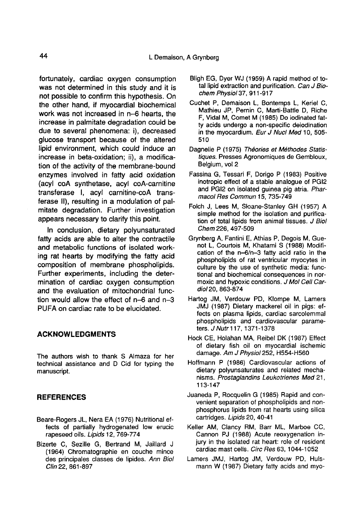fortunately, cardiac oxygen consumption was not determined in this study and it is not possible to confirm this hypothesis. On the other hand, if myocardial biochemical work was not increased in n-6 hearts, the increase in palmitate degradation could be due to several phenomena: i), decreased glucose transport because of the altered lipid environment, which could induce an increase in beta-oxidation; ii), a modification of the activity of the membrane-bound enzymes involved in fatty acid oxidation (acyl coA synthetase, acyl coA-carnitine transferase I, acyl carnitine-coA transferase II), resulting in a modulation of palmitate degradation. Further investigation appears necessary to clarify this point.

In conclusion, dietary polyunsaturated fatty acids are able to alter the contractile and metabolic functions of isolated working rat hearts by modifying the fatty acid composition of membrane phospholipids. Further experiments, including the determination of cardiac oxygen consumption and the evaluation of mitochondrial function would allow the effect of n-6 and n-3 PUFA on cardiac rate to be elucidated.

### ACKNOWLEDGMENTS

The authors wish to thank S Almaza for her technical assistance and D Cid for typing the manuscript.

### **REFERENCES**

- Beare-Rogers JL, Nera EA (1976) Nutritional effects of partially hydrogenated low erucic rapeseed oils. Lipids 12, 769-774
- Bizerte C, Sezille G, Bertrand M, Jaillard J (1964) Chromatographie en couche mince des principales classes de lipides. Ann Biol Clin 22, 861-897
- Bligh EG, Dyer WJ (1959) A rapid method of total lipid extraction and purification. Can J Biochem Physiol 37, 911-917
- Cuchet P, Demaison L, Bontemps L, Keriel C, Mathieu JP, Pernin C, Marti-Battle D, Riche F, Vidal M, Comet M (1985) Do iodinated fatty acids undergo a non-specific deiodination in the myocardium. Eur J Nucl Med 10, 505-510
- Dagnelie P (1975) Théories et Méthodes Statistiques. Presses Agronomiques de Gembloux, Belgium, vol 2
- Fassina G, Tessari F, Dorigo P (1983) Positive inotropic effect of a stable analogue of PG12 and PGI2 on isolated guinea pig atria. Pharmacol Res Commun 15, 735-749
- Folch J, Lees M, Sloane-Stanley GH (1957) A simple method for the isolation and purification of total lipids from animal tissues. J Biol Chem 226, 497-509
- Grynberg A, Fantini E, Athias P, Degois M, Guenot L, Courtois M, Khatami S (1988) Modification of the n-6/n-3 fatty acid ratio in the phospholipids of rat ventricular myocytes in culture by the use of synthetic media: functional and biochemical consequences in normoxic and hypoxic conditions. J Mol Cell Cardio120, 863-874
- Hartog JM, Verdouw PD, Klompe M, Lamers JMJ (1987) Dietary mackerel oil in pigs: effects on plasma lipids, cardiac sarcolemmal phospholipids and cardiovascular parame ters. J Nutr 117, 1371-1378
- Hock CE, Holahan MA, Reibel DK (1987) Effect of dietary fish oil on myocardial ischemic damage. Am J Physiol 252, H554-H560
- Hoffmann P (1986) Cardiovascular actions of dietary polyunsaturates and related mechanisms. Prostaglandins Leukotrienes Med 21, 113-147
- Juaneda P, Rocquelin G (1985) Rapid and convenient separation of phospholipids and nonphosphorus lipids from rat hearts using silica cartridges. Lipids 20, 40-41
- Keller AM, Clancy RM, Barr ML, Marboe CC, Cannon PJ (1988) Acute reoxygenation injury in the isolated rat heart: role of resident cardiac mast cells. Circ Res 63, 1044-1052
- Lamers JMJ, Hartog JM, Verdouw PD, Hulsmann W (1987) Dietary fatty acids and myo-